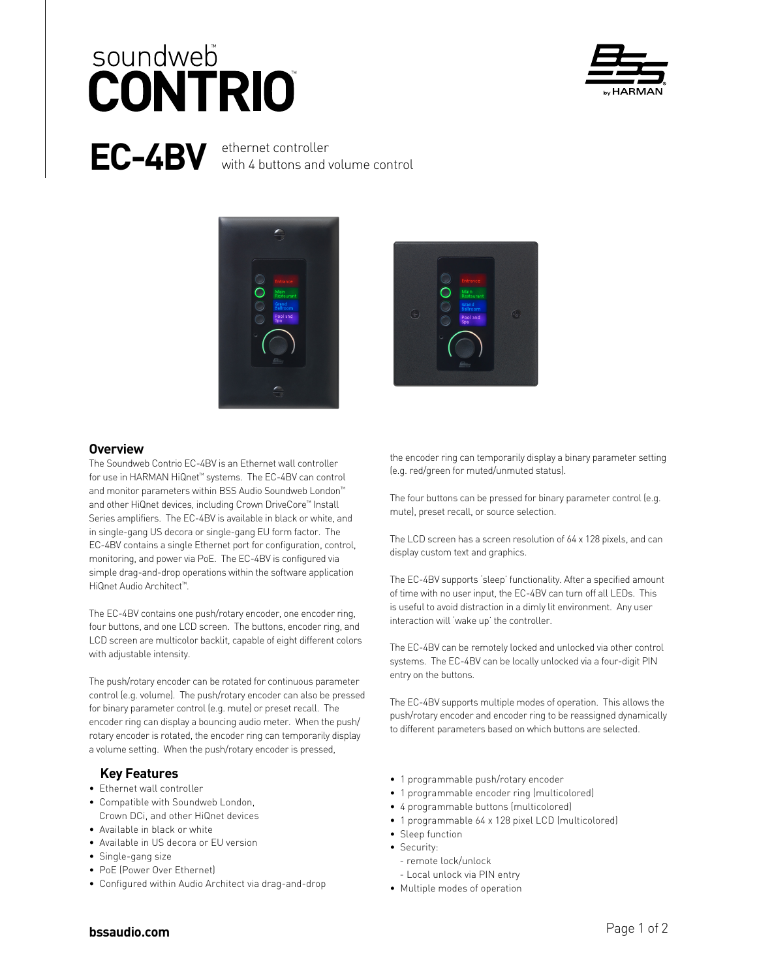# soundweb **CONTRIO**



# **EC-4BV** ethernet controller

with 4 buttons and volume control





#### **Overview**

The Soundweb Contrio EC-4BV is an Ethernet wall controller for use in HARMAN HiQnet™ systems. The EC-4BV can control and monitor parameters within BSS Audio Soundweb London™ and other HiQnet devices, including Crown DriveCore™ Install Series amplifiers. The EC-4BV is available in black or white, and in single-gang US decora or single-gang EU form factor. The EC-4BV contains a single Ethernet port for configuration, control, monitoring, and power via PoE. The EC-4BV is configured via simple drag-and-drop operations within the software application HiQnet Audio Architect™.

The EC-4BV contains one push/rotary encoder, one encoder ring, four buttons, and one LCD screen. The buttons, encoder ring, and LCD screen are multicolor backlit, capable of eight different colors with adjustable intensity.

The push/rotary encoder can be rotated for continuous parameter control (e.g. volume). The push/rotary encoder can also be pressed for binary parameter control (e.g. mute) or preset recall. The encoder ring can display a bouncing audio meter. When the push/ rotary encoder is rotated, the encoder ring can temporarily display a volume setting. When the push/rotary encoder is pressed,

#### **Key Features**

- Ethernet wall controller
- Compatible with Soundweb London,
- Crown DCi, and other HiQnet devices
- Available in black or white
- Available in US decora or EU version
- Single-gang size
- PoE (Power Over Ethernet)
- Configured within Audio Architect via drag-and-drop

the encoder ring can temporarily display a binary parameter setting (e.g. red/green for muted/unmuted status).

The four buttons can be pressed for binary parameter control (e.g. mute), preset recall, or source selection.

The LCD screen has a screen resolution of 64 x 128 pixels, and can display custom text and graphics.

The EC-4BV supports 'sleep' functionality. After a specified amount of time with no user input, the EC-4BV can turn off all LEDs. This is useful to avoid distraction in a dimly lit environment. Any user interaction will 'wake up' the controller.

The EC-4BV can be remotely locked and unlocked via other control systems. The EC-4BV can be locally unlocked via a four-digit PIN entry on the buttons.

The EC-4BV supports multiple modes of operation. This allows the push/rotary encoder and encoder ring to be reassigned dynamically to different parameters based on which buttons are selected.

- 1 programmable push/rotary encoder
- 1 programmable encoder ring (multicolored)
- 4 programmable buttons (multicolored)
- 1 programmable 64 x 128 pixel LCD (multicolored)
- Sleep function
- Security:
	- remote lock/unlock
	- Local unlock via PIN entry
- Multiple modes of operation